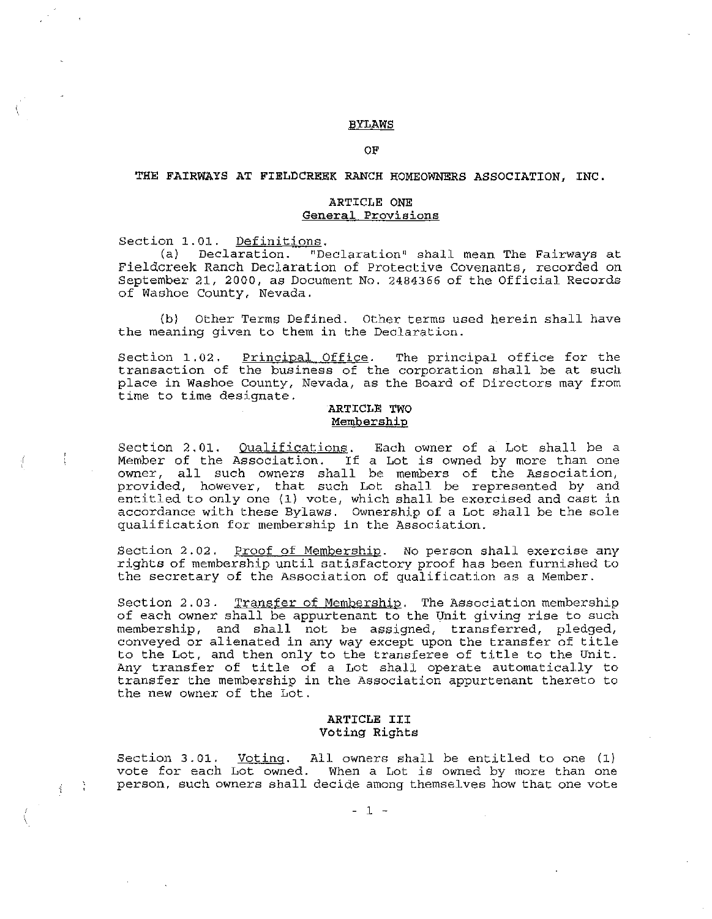#### BYLAWS

OF

## THE FAIRWAYS AT FIELDCREEK RANCH HOMEOWNERS ASSOCIATION, INC.

### ARTICLE ONE **General Provisions**

Section 1.01. Definitions.<br>(a) Declaration. "De

 $\frac{1}{4}$  =  $\frac{3}{4}$ 

Declaration. "Declaration" shall mean The Fairways at Fieldcreek Ranch Declaration of Protective Covenants, recorded on September 21, 2000, as Document No. 2484366 of the Official Records of Washoe County, Nevada.

(b) Other Terms Defined. Other terms used herein shall have the meaning given to them in the Declaration.

Section 1.02. Principal Office. The principal office for the transaction of the business of the corporation shall be at such place in Washoe County, Nevada, as the Board of Directors may from time to time designate.

### ARTICLE TWO Membership

Section 2.01. <u>Oualifications</u>. Each owner of a Lot shall be a Member of the Association. If a Lot is owned by more than one owner, all such owners shall be members of the Association, provided, however, that such Lot shall be represented by and entitled to only one (1) *vote,* which shall be exercised and cast in accordance with these Bylaws. Ownership of a Lot shall be the sole qualification for membership in the Association.

Section 2.02. Proof of Membership. No person shall exercise any rights of membership until satisfactory proof has been furnished to the secretary of the Association of qualification as a Member.

Section 2.03. Transfer of Membership. The Association membership of each owner shall be appurtenant to the Unit giving rise to such membership, and shall not be assigned, transferred, pledged, conveyed or alienated in any way except upon the transfer of title to the Lot, and then only to the transferee of title to the Unit. Any transfer of title of a Lot shall operate automatically to transfer the membership in the Association appurtenant thereto to the new owner of the Lot.

## ARTICLE **III** Voting Rights

Section 3.01. Voting. All owners shall be entitled to one (1) vote for each Lot owned. When <sup>a</sup> Lot is owned by more than one person, such owners shall decide among themselves how that one vote

 $-1 -$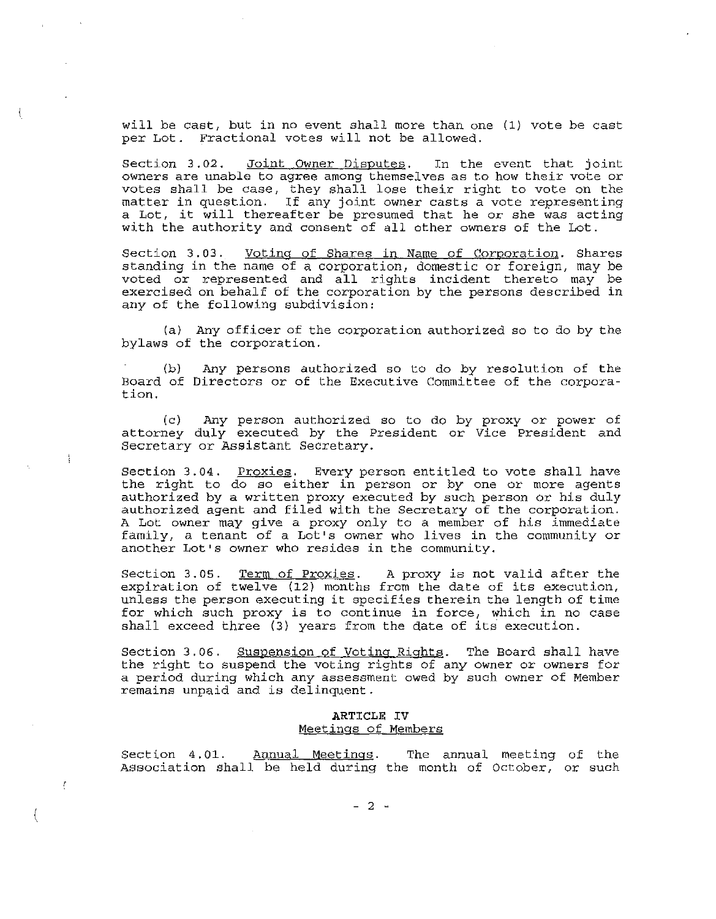will be cast, but in no event shall more than one (1) vote be cast per Lot. Fractional votes will not be allowed.

section 3.02. Joint Owner Disputes. In the event that joint oWners are unable to agree among themselves as to how their vote or votes shall be case, they shall lose their right to vote on the matter in question. If any joint owner casts <sup>a</sup> vote representing <sup>a</sup> Lot, it will thereafter be presumed that he Or she was acting with the authority and consent of all other owners of the Lot.

Section 3.03. Voting of Shares in Name of Corporation. Shares standing in the name of a corporation, domestic or foreign, may be voted or represented and all rights incident thereto may be exercised on behalf of the corporation by the persons described in any of the following subdivision:

(a) Any officer of the corporation authorized so to do by the bylaws of the corporation.

(b) Board of Directors or of the Executive Committee of the corpora tion. Any persons authorized so to do by resolution of the

(c) Any person authorized so to do by proxy or power of attorney duly executed by the President or Vice President and Secretary or Assistant Secretary.

Section 3.04. Proxies. Every person entitled to vote shall have the right to do so either in person or by one or more agents authorized by a written proxy executed by such person or his duly authorized agent and filed with the Secretary of the corporation. A Lot owner may give a proxy only to a member of his immediate family, a tenant of a Lot's owner who lives in the community or another Lot's owner who resides in the community.

Section 3.05. Term of Proxies. A proxy is not valid after the expiration of twelve (12) months from the date of its execution, unless the person executing it specifies therein the length of time for which such proxy is to continue in force, which in no case shall exceed three (3) years from the date of its execution.

Section 3.06. Suspension of Voting Rights. The Board shall have the right to suspend the voting rights of any OWner or owners for a period during which any assessment owed by such owner of Member remains unpaid and is delinquent.

#### ARTICLE IV Meetings of Members

Section 4.01. Annual Meetings. The annual meeting of the Association shall be held during the month of October, or such

(

Î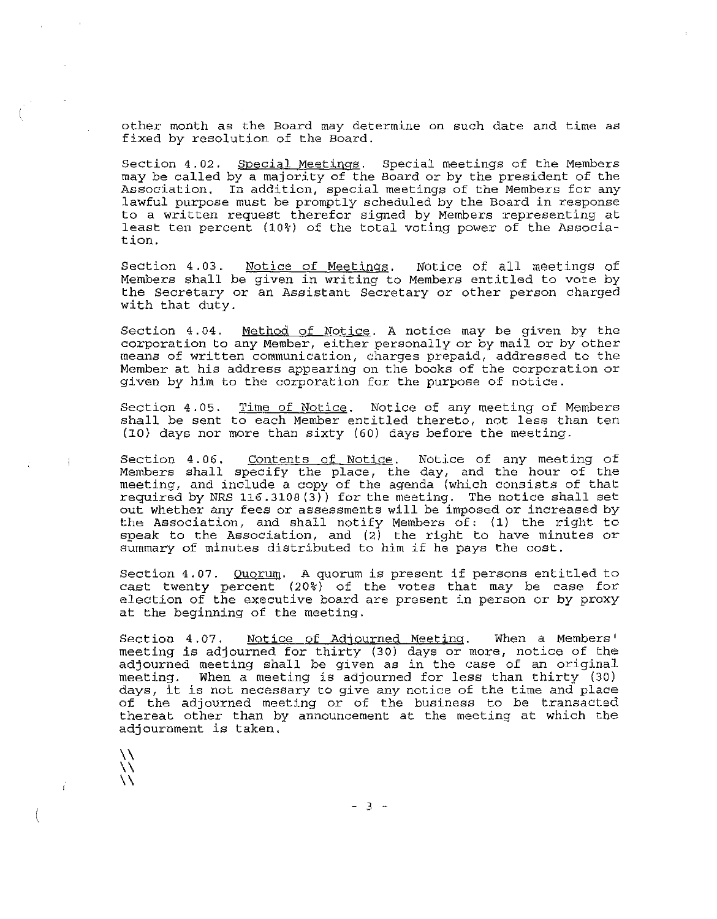other month as the Board may determine on such date and time as fixed by resolution of the Board.

Section 4.02. Special Meetings. Special meetings of the Members may be called by a majority of the Board or by the president of the Association. In addition, special meetings of the Members for any lawful purpose must be promptly scheduled by the Board in response to <sup>a</sup> written request therefor signed by Members representing at least ten percent (10%) of the total voting power of the Association.

Section 4.03. Notice of Meetings. Notice of all meetings of Members shall be given in writing to Members entitled to vote by the Secretary Or an Assistant Secretary or other person charged with that duty.

Section 4.04. Method of Notice. A notice may be given by the corporation to any Member, either personally or by mail or by other means of written communication, charges prepaid, addressed to the Member at his address appearing on the books of the corporation or given by him to the corporation for the purpose of notice.

Section 4.05. soccion these <u>manufacture</u>. Here of any medicing of commer-(lO) days nor mOre than sixty (60) days befOre the meeting. Time of Notice. Notice of any meeting of Members

Section 4.06. Contents of Notice. Notice of any meeting of Members shall specify the place, the day, and the hour of the meeting, and include a copy of the agenda (which consists of that required by NRS 116.3108 (3» for the meeting. The notice shall set out whether any fees Or assessments will be imposed or increased by the Association, and shall notify Members of: (1) the right to speak to the Association, and  $(2)$  the right to have minutes or summary of minutes distributed to him if he pays the cost.

Section 4.07. Quorum. A quorum is present if persons entitled to cast twenty percent  $(20\%)$  of the votes that may be case for election of the executive board are present in person or by proxy at the beginning of the meeting.

Section 4.07. Notice of Adjourned Meeting. When a Members' meeting is adjourned for thirty (30) days or more, notice of the adjourned meeting shall be given as in the case of an original meeting. When <sup>a</sup> meeting is adjourned for less than thirty (30) days, it is not necessary to give any notice of the time and place of the adjourned meeting or of the business to be transacted thereat other than by announcement at the meeting at which the adjournment is taken.

 $-3 -$ 

\\ \\  $\setminus$ 

Ť

 $\ddot{\cdot}$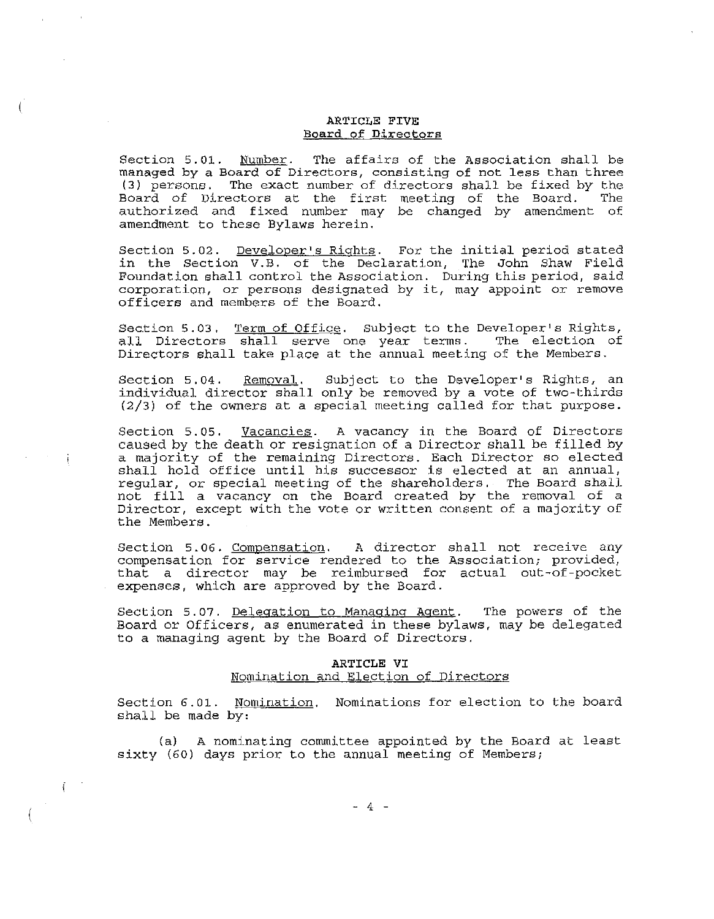### ARTICLE FIVE Board of Direotors

Section 5.01. Number. The affairs of the Association shall be managed by <sup>a</sup> Board of Directors, consisting of not less than three (3) persons. The exact number of directors shall be fixed by the Board of Directors at the first meeting of the Board. authorized and fixed number may be changed by amendment of amendment to these Bylaws herein.

Section 5.02. Developer's Rights. For the initial period stated in the Section V.B. of the Declaration, The John Shaw Field Foundation shall control the Association. During this period, said corporation, or persons designated by it, may appoint or remove officers and members of the Board.

Section 5.03. Term of Office. Subject to the Developer's Rights, becall birectors shall serve one year terms. The election of Directors shall take place at the annual meeting of the Members.

Section 5.04. Removal. Subject to the Developer's Rights, an individual director shall only be removed by <sup>a</sup> vote of two-thirds (2/3) of the owners at <sup>a</sup> special meeting called for that purpose.

Section 5.05. Vacancies. A vacancy in the Board of Directors caused by the death or resignation of <sup>a</sup> Director shall be filled by a majority of the remaining Directors. Each Director so elected shall hold office until his successor is elected at an annual, regular, or special meeting of the shareholders. The Board shall not fill <sup>a</sup> vacancy on the Board created by the removal of <sup>a</sup> Director, except with the vote or written consent of a majority of the Members.

Section 5.06. Compensation. <sup>A</sup> director shall not receive any compensation for service rendered to the Association; provided, that <sup>a</sup> director may be reimbursed for actual out-of-pocket expenses, which are approved by the Board.

Section 5.07. Delegation to Managing Agent. The powers of the Board or Officers, as enumerated in these bylaws, may be delegated to a managing agent by the Board of Directors.

# ARTICLE VI

## Nomination and Election of Directors

Section 6.01. Nomination. Nominations for election to the board shall be made by:

(a) <sup>A</sup> nominating committee appointed by the Board at least sixty (60) days prior to the annual meeting of Members;

f.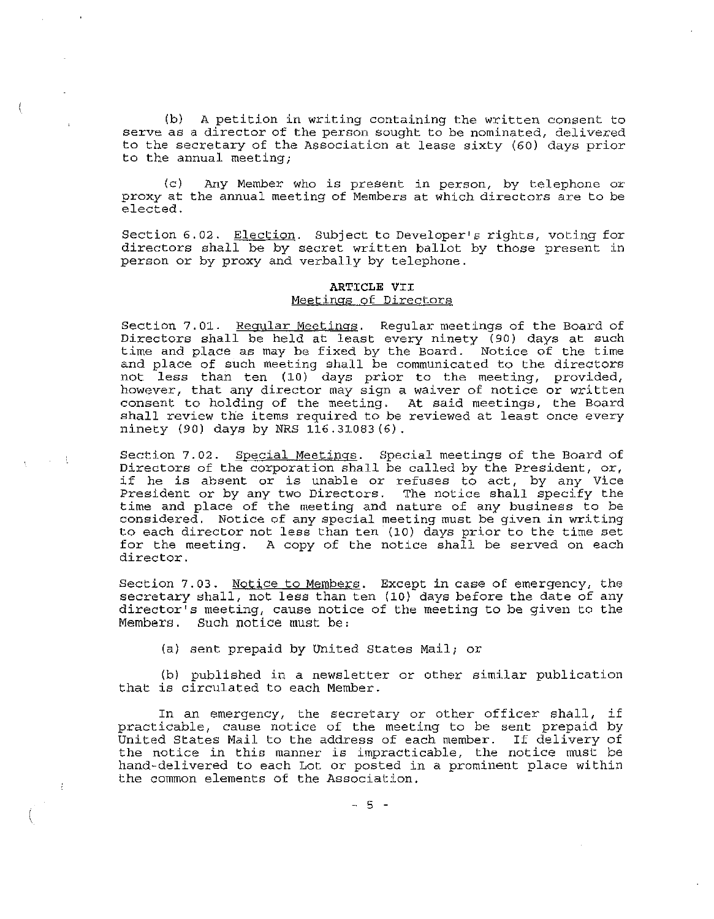(b) A petition in writing containing the written consent to serve as a director of the person sought to be nominated, delivered to the secretary of the Association at lease sixty (60) days prior to the annual meeting;

(c) proxy at elected. Any Member who is present in person, by telephone or the annual meeting of Members at which directors are to be

Section 6.02. Election. Subject to Developer's rights, voting for directors shall be by secret written ballot by those present in person or by proxy and verbally by telephone.

#### **ARTICLE** VII Meetings of Directors

Section 7.01. Regular Meetings. Regular meetings of the Board of Directors shall be held at least every ninety (90) days at such time and place as may be fixed by the Board. Notice of the time and place of such meeting shall be communicated to the directors not less than ten (10) days prior to the meeting, provided, however, that any director may sign a waiver of notice or written consent to holding of the meeting. At said meetings, the Board shall review the items required to be reviewed at least once every ninety (90) days by NRS 116.31083(6).

Section 7.02. Special Meetings. Special meetings of the Board of Directors of the corporation shall be called by the President, or, if he is absent or is unable or refuses to act, by any Vice President or by any two Directors. The notice shall specify the time and place of the meeting and nature of any business to be considered. Notice of any special meeting must be given in writing to each director not less than ten (10) days prior to the time set for the meeting. A copy of the notice shall be served on each director.

Section 7.03. Notice to Members. Except in case of emergency, the secretary shall, not less than ten (10) days before the date of any director's meeting, cause notice of the meeting to be given to the Members. Such notice must be:

(a) sent prepaid by United States Mail; or

 $\sim$   $\sim$   $\pm$ 

 $\mathcal{L}$ 

(b) published in a newsletter or other similar publication that is circulated to each Member.

In an emergency, the secretary or other officer shall, if practicable, cause notice of the meeting to be sent prepaid by United States Mail to the address of each member. If delivery of the notice in this manner is impracticable, the notice must be hand-delivered to each Lot or posted in a prominent place within the common elements of the Association.

- 5 -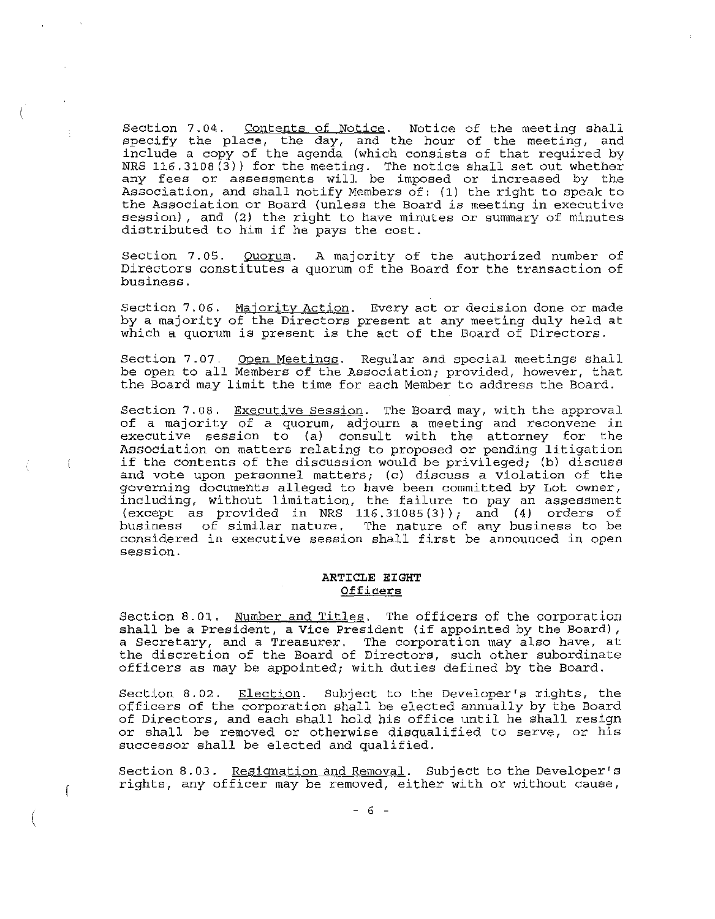Section 7.04. Contents of Notice. Notice of the meeting shall specify the place, the day, and the hour of the meeting, and include a copy of the agenda (which consists of that required by NRS  $116.3108(3)$ ) for the meeting. The notice shall set out whether any fees or assessments will be imposed or increased by the Association, and shall notify Members of: (1) the right to speak to the Association or Board (unless the Board is meeting in executive session), and (2) the right to have minutes or summary of minutes distributed to him if he pays the cost.

Section 7.05. Directors constitutes a quorum of the Board for the transaction of business. Quorum. A majority of the authorized number of

Section 7.06. Majority Action. Every act or decision done or made by a majority of the Directors present at any meeting duly held at which <sup>a</sup> quorum is present is the act of the Board of Directors.

Section 7.07. Open Meetings. Regular and special meetings shall be open to all Members of the Association; provided, however, that the Board may limit the time for each Member to address the Board.

Section 7.08. Executive Session. The Board may, with the approval of a majority of a quorum, adjourn a meeting and reconvene in executive session to (a) consult with the attorney for the Association on matters relating to proposed or pending litigation if the contents of the discussion would be privileged; (b) discuss and vote upon personnel matters; (c) discuss a violation of the governing documents alleged to have been committed by Lot owner, including, without limitation, the failure to pay an assessment (except as provided in NRS 116.31085(3); and (4) orders of business of similar nature. The nature of any business to be considered in executive session shall first be announced in open **session.**

Ť

ſ

## **ARTICLE EIGHT Officers**

Section 8.01. Number and Titles. The officers of the corporation shall be <sup>a</sup> President, <sup>a</sup> Vice President (if appointed by the Board), <sup>a</sup> Secretary, and <sup>a</sup> Treasurer. The corporation may also have, at the discretion of the Board of Directors, such other subordinate officers as may be appointed; with duties defined by the Board.

Section 8.02. Election. Subject to the Developer's rights, the officers of the corporation shall be elected annually by the Board of Directors, and each shall hold his office until he shall resign or shall be removed or otherwise disqualified to serve, or his successor shall be elected and qualified.

Section 8.03. Resignation and Removal. Subject to the Developer's rights, any officer may be removed, either with or without cause,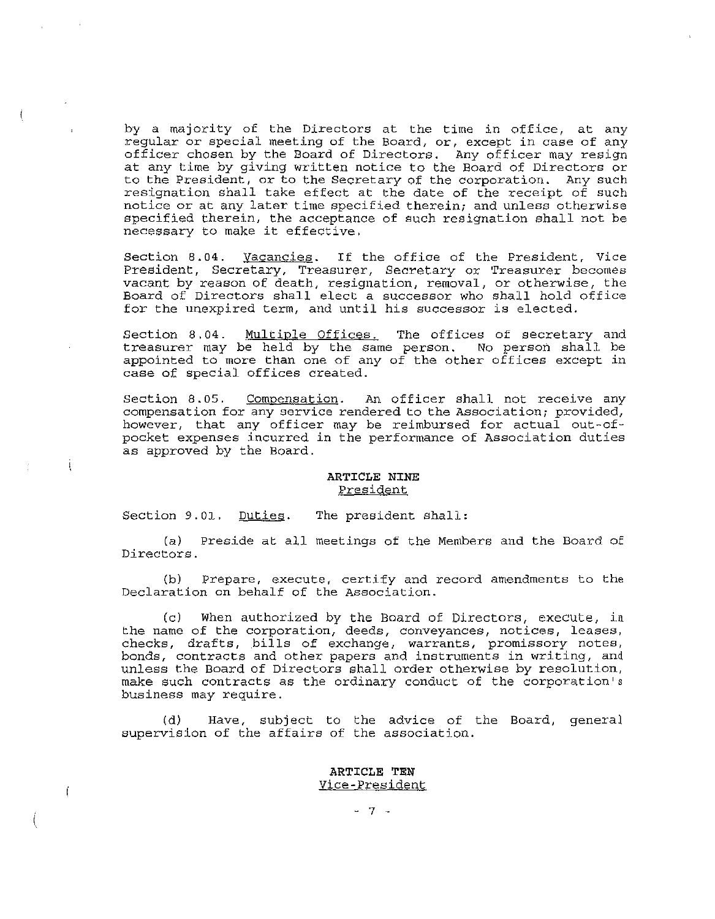by <sup>a</sup> majority of the Directors at the time in office, at any regular or special meeting of the Board, or, except in case of any officer chosen by the Board of Directors. Any officer may resign at any time by giving written notice to the Board of Directors or to the President, or to the secretary of the corporation. Any such resignation shall take effect at the date of the receipt of such notice or at any later time specified therein; and unless otherwise specified therein, the acceptance of such resignation shall not be necessary to make it effective,

Section 8.04. <u>Vacancies</u>. If the office of the President, Vice President, Secretary, Treasurer, Secretary or Treasurer becomes vacant by reason of death, resignation, removal, or otherwise, the Board of Directors shall elect a successor who shall hold office for the unexpired term, and until his successor is elected.

Section 8.04. Multiple Offices. The offices of secretary and treasurer may be held by the same person. No person shall be appointed to more than one of any of the other offices except in case of special offices created.

Section 8.05. Compensation. An officer shall not receive any compensation for any service rendered to the Association; provided, however, that any officer may be reimbursed for actual out-ofpocket expenses incurred in the performance of Association duties as approved by the Board.

#### **ARTICLE NINE** President

Section 9.01. Duties. The president shall:

 $\mathbf{I}$ 

(a) Preside at all meetings of the Members and the Board of Directors.

(b) Prepare, execute, certify and record amendments to the Declaration on behalf of the Association.

(c) When authorized by the Board of Directors, execute, in the name of the corporation, deeds, conveyances, notices, leases, checks, drafts, bills of exchange, warrants, promissory notes, bonds, contracts and other papers and instruments in writing, and unless the Board of Directors shall order otherwise by resolution, make such contracts as the ordinary conduct of the corporation's business may require.

(d) Have, subject to the advice of the Board, general supervision of the affairs of the association.

#### **ARTICLE TEN** Vice-President

- 7 -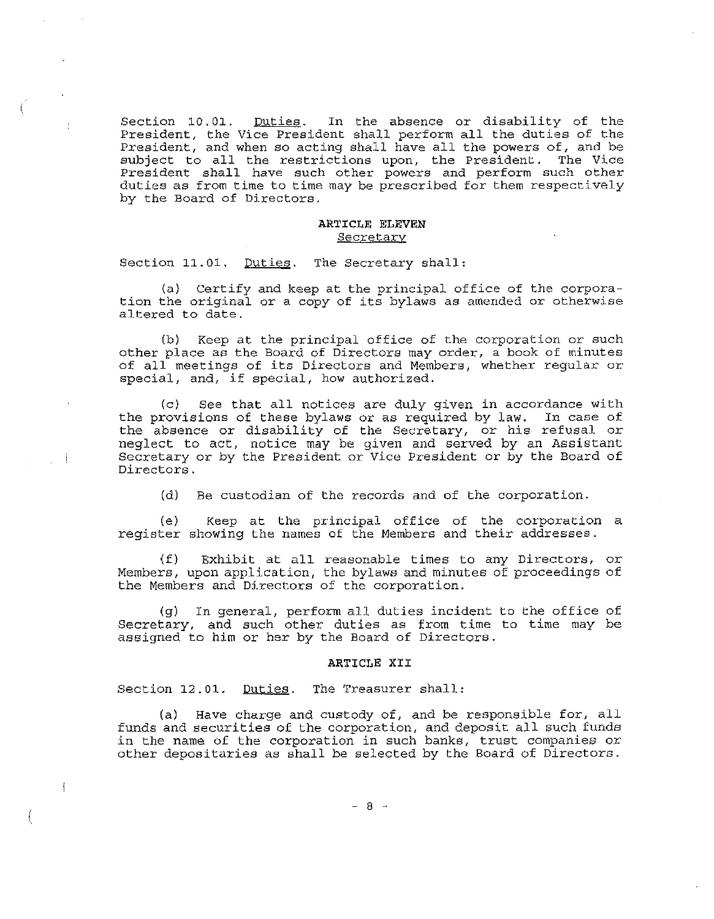Section 10.01. Duties. In the absence or disability of the President, the Vice President shall perform all the duties of the President, and when so acting shall have all the powers of, and be subject to all the restrictions upon, the President. The Vice President shall have such other powers and perform such other duties as from time to time may be prescribed for them respectively by the Board of Directors.

#### ARTICLE ELEVEN Secretary

Section 11.01. Duties. The Secretary shall:

÷

- i

 $\mathbf{I}$ 

(a) Certify and keep at the principal office of the corporation the original or <sup>a</sup> copy of its bylaws as amended or otherwise altered to date.

(b) Keep at the principal office of the corporation or such other place as the Board of Directors may order, a book of minutes of all meetings of its Directors and Members, whether regular or special, and, if special, how authorized.

(c) See that all notices are duly given in accordance with the provisions of these bylaws or as required by law. In case of the absence or disability of the Secretary, or his refusal or neglect to act, notice may be given and served by an Assistant Secretary or by the President or vice President or by the Board of Directors.

(d) Be custodian of the records and of the corporation.

(e) Keep at the principal office of the corporation <sup>a</sup> register showing the names of the Members and their addresses.

(f) Exhibit at all reasonable times to any Directors, or Members, upon application, the bylaws and minutes of proceedings of the Members and Directors of the corporation.

(g) In general, perform all duties incident to the office of Secretary, and such other duties as from time to time may be assigned to him or her by the Board of Directors.

#### ARTICLE XII

Section 12.01. Duties. The Treasurer shall:

(a) Have charge and custody of, and be responsible for, all funds and securities of the corporation, and deposit all such funds in the name of the corporation in such banks, trust companies or other depositaries as shall be selected by the Board of Directors.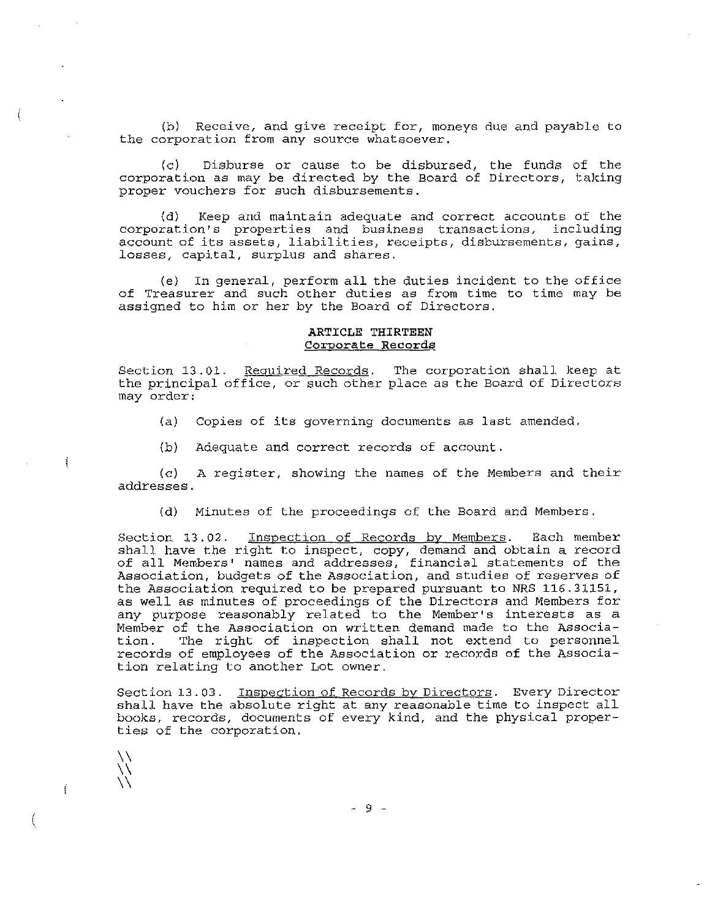(b) Receive, and give receipt for, moneys due and payable to the corporation from any source whatsoever.

(c) Disburse or cause to be disbursed, the funds of the corporation as may be directed by the Board of Directors, taking proper vouchers for such disbursements.

(d) Keep and maintain adequate and correct accounts of the corporation's properties and business transactions, including account of its assets, liabilities, receipts, disbursements, gains, losses, capital, surplus and shares.

(e) In general, perform all the duties incident to the office of Treasurer and such other duties as from time to time may be assigned to him or her by the Board of Directors.

## **ARTICLE THIRTEEN** Corporate Records

Section 13.01. Required Records. The corporation shall keep at the principal office, or such other place as the Board of Directors may order:

- (a) Copies of its governing documents as last amended.
- (b) Adequate and correct records of account.

(c) <sup>A</sup> register, showing the names of the Members and their addresses.

(d) Minutes of the proceedings of the Board and Members.

Section 13.02. Inspection of Records by Members. Each member shall have the right to inspect, copy, demand and obtain a record of all Members' names and addresses, financial statements of the Association, budgets of the Association, and studies of reserves of the Association required to be prepared pursuant to NRS 116.31151, as well as minutes of proceedings of the Directors and Members for any purpose reasonably related to the Member's interests as <sup>a</sup> Member of the Association on written demand made to the Associa-The right of inspection shall not extend to personnel records of employees of the Association or records of the Association relating to another Lot owner.

Section 13.03. Inspection of Records by Directors. Every Director shall have the absolute right at any reasonable time to inspect all books, records, documents of every kind, and the physical properties of the corporation.

 $\bigvee$  $\bigwedge\limits_{i=1}^n$  $\bigwedge$ 

Ť

ŧ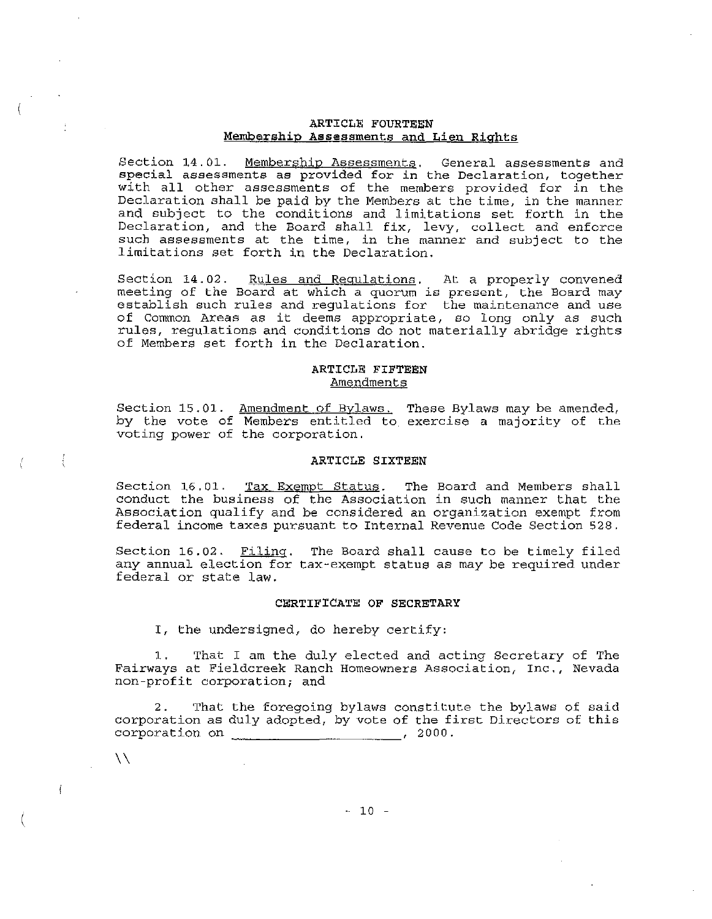#### ARTICLE FOURTEEN Membership Assessments and Lien Rights

Section 14.01. Membership Assessments. General assessments and special assessments as provided for in the Declaration, together with all other assessments of the members provided for in the Declaration shall be paid by the Members at the time, in the manner and subject to the conditions and limitations set forth in the Declaration, and the Board shall fix, levy, collect and enforce such assessments at the time, in the manner and subject to the limitations set forth in the Declaration.

Section 14.02. Rules and Regulations. At a properly convened meeting of the Board at which <sup>a</sup> quorum is present, the Board may establish such rules and regulations for the maintenance and use of Common Areas as it deems appropriate, so long only as such rules, regulations and conditions do not materially abridge rights of Members set forth in the Declaration.

#### ARTICLE FIFTEEN Amendments

Section 15.01. by the vote of voting power of the corporation. Amendment of Bylaws. Members entitled to These Bylaws may be amended, exercise a majority of the

#### ARTICLE SIXTEEN

Section 16.01. Tax Exempt Status. The Board and Members shall conduct the business of the Association in such manner that the Association qualify and be considered an organization exempt from federal income taxes pursuant to Internal Revenue Code Section 528.

Section 16.02. Filing. The Board shall cause to be timely filed any annual election for tax-exempt status as may be required under federal or state law.

#### CERTIFICATE OF SECRETARY

I, the undersigned, do hereby certify:

 $\lambda\lambda$ 

 $\mathfrak{f}$ 

Ţ

That I am the duly elected and acting Secretary of The Fairways at Fieldcreek Ranch Homeowners Association, Inc., Nevada non-profit corporation; and

2. That the foregoing bylaws constitute the bylaws of said corporation as duly adopted, by vote of the first Directors of this corporation on ... , 2000. corporation on  $\frac{1}{2}$   $\frac{1}{2}$   $\frac{1}{2}$   $\frac{1}{2}$   $\frac{1}{2}$   $\frac{1}{2}$   $\frac{1}{2}$   $\frac{1}{2}$   $\frac{1}{2}$   $\frac{1}{2}$   $\frac{1}{2}$   $\frac{1}{2}$   $\frac{1}{2}$   $\frac{1}{2}$   $\frac{1}{2}$   $\frac{1}{2}$   $\frac{1}{2}$   $\frac{1}{2}$   $\frac{1}{2}$   $\frac{1}{2}$   $\frac{1}{$